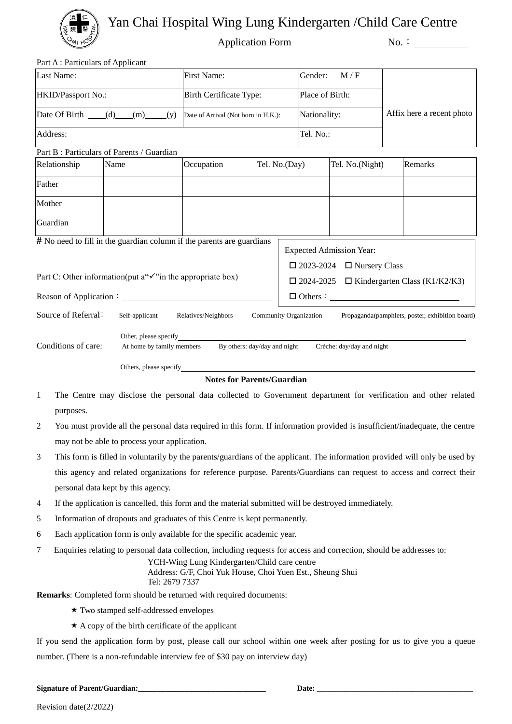

Yan Chai Hospital Wing Lung Kindergarten /Child Care Centre

Application Form No.:

Part A : Particulars of Applicant

| Last Name:                                                                                                                                    |                                                                                                              | First Name:                         |               | Gender:                                               | M/F             |  |                           |  |
|-----------------------------------------------------------------------------------------------------------------------------------------------|--------------------------------------------------------------------------------------------------------------|-------------------------------------|---------------|-------------------------------------------------------|-----------------|--|---------------------------|--|
| HKID/Passport No.:                                                                                                                            |                                                                                                              | <b>Birth Certificate Type:</b>      |               |                                                       | Place of Birth: |  |                           |  |
| Date Of Birth $(d)$ (m)<br>(y)                                                                                                                |                                                                                                              | Date of Arrival (Not born in H.K.): |               |                                                       | Nationality:    |  | Affix here a recent photo |  |
| Address:                                                                                                                                      |                                                                                                              |                                     |               |                                                       | Tel. No.:       |  |                           |  |
|                                                                                                                                               | Part B: Particulars of Parents / Guardian                                                                    |                                     |               |                                                       |                 |  |                           |  |
| Relationship                                                                                                                                  | Name                                                                                                         | Occupation                          | Tel. No.(Day) | Tel. No.(Night)                                       |                 |  | Remarks                   |  |
| Father                                                                                                                                        |                                                                                                              |                                     |               |                                                       |                 |  |                           |  |
| Mother                                                                                                                                        |                                                                                                              |                                     |               |                                                       |                 |  |                           |  |
| Guardian                                                                                                                                      |                                                                                                              |                                     |               |                                                       |                 |  |                           |  |
| $#$ No need to fill in the guardian column if the parents are guardians<br><b>Expected Admission Year:</b>                                    |                                                                                                              |                                     |               |                                                       |                 |  |                           |  |
|                                                                                                                                               |                                                                                                              |                                     |               |                                                       |                 |  |                           |  |
| Part C: Other information(put $a'''\checkmark$ ) in the appropriate box)                                                                      |                                                                                                              |                                     |               | $\Box$ 2023-2024 $\Box$ Nursery Class                 |                 |  |                           |  |
|                                                                                                                                               |                                                                                                              |                                     |               | $\Box$ 2024-2025 $\Box$ Kindergarten Class (K1/K2/K3) |                 |  |                           |  |
|                                                                                                                                               |                                                                                                              |                                     |               |                                                       |                 |  |                           |  |
| Source of Referral:<br>Self-applicant Relatives/Neighbors<br><b>Community Organization</b><br>Propaganda(pamphlets, poster, exhibition board) |                                                                                                              |                                     |               |                                                       |                 |  |                           |  |
| Conditions of care:                                                                                                                           | Other, please specify<br>At home by family members By others: day/day and night<br>Crèche: day/day and night |                                     |               |                                                       |                 |  |                           |  |
|                                                                                                                                               |                                                                                                              | Others, please specify              |               |                                                       |                 |  |                           |  |

**Notes for Parents/Guardian**

- 1 The Centre may disclose the personal data collected to Government department for verification and other related purposes.
- 2 You must provide all the personal data required in this form. If information provided is insufficient/inadequate, the centre may not be able to process your application.
- 3 This form is filled in voluntarily by the parents/guardians of the applicant. The information provided will only be used by this agency and related organizations for reference purpose. Parents/Guardians can request to access and correct their personal data kept by this agency.
- 4 If the application is cancelled, this form and the material submitted will be destroyed immediately.
- 5 Information of dropouts and graduates of this Centre is kept permanently.
- 6 Each application form is only available for the specific academic year.
- 7 Enquiries relating to personal data collection, including requests for access and correction, should be addresses to:

 YCH-Wing Lung Kindergarten/Child care centre Address: G/F, Choi Yuk House, Choi Yuen Est., Sheung Shui Tel: 2679 7337

**Remarks**: Completed form should be returned with required documents:

- Two stamped self-addressed envelopes
- $\star$  A copy of the birth certificate of the applicant

If you send the application form by post, please call our school within one week after posting for us to give you a queue number. (There is a non-refundable interview fee of \$30 pay on interview day)

**Signature of Parent/Guardian:\_\_\_\_\_\_\_\_\_\_\_\_\_\_\_\_\_\_\_\_\_\_\_\_\_\_\_\_\_\_\_\_\_ Date: \_\_\_\_\_\_\_\_\_\_\_\_\_\_\_\_\_\_\_\_\_\_\_\_\_\_\_\_\_\_\_\_\_**